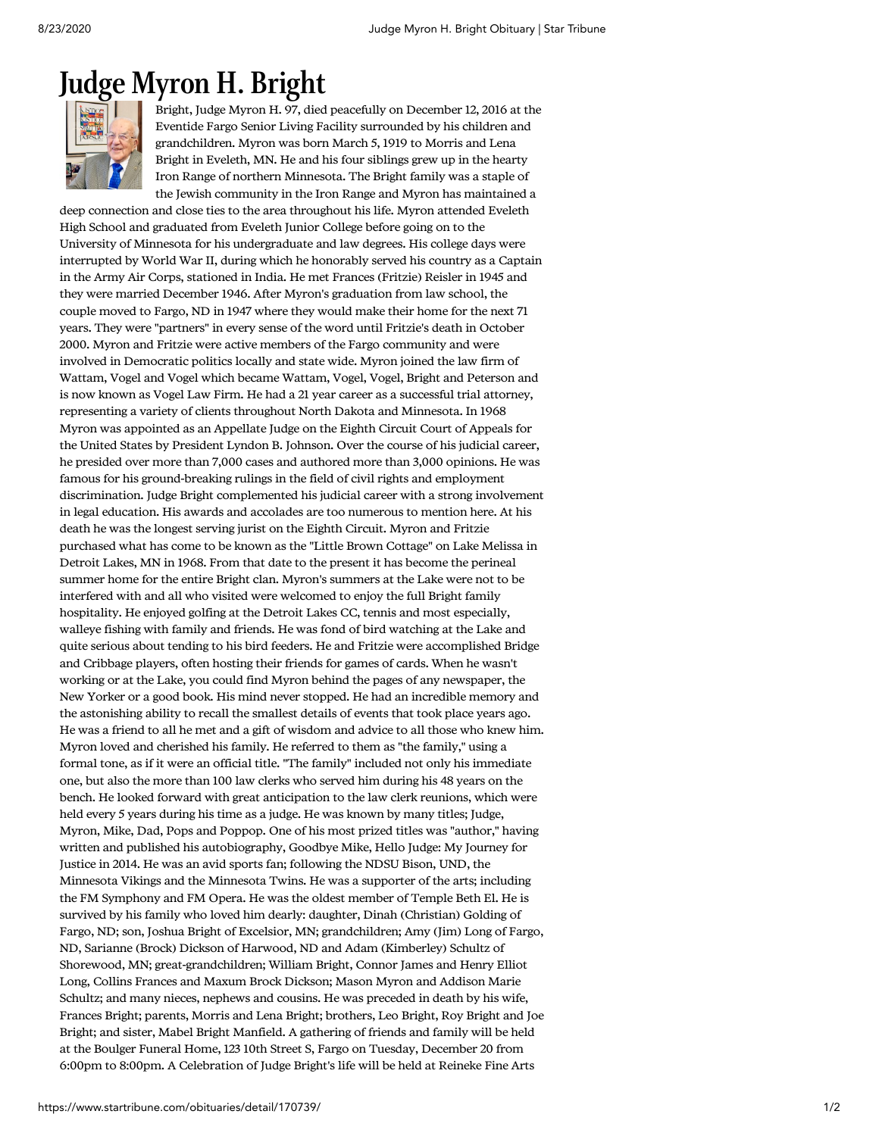## [Judge](https://www.startribune.com/obituaries/detail/170739/?fullname=judge-myron-h-bright) Myron H. Bright



Bright, Judge Myron H. 97, died peacefully on December 12, 2016 at the Eventide Fargo Senior Living Facility surrounded by his children and grandchildren. Myron was born March 5, 1919 to Morris and Lena Bright in Eveleth, MN. He and his four siblings grew up in the hearty Iron Range of northern Minnesota. The Bright family was a staple of the Jewish community in the Iron Range and Myron has maintained a

deep connection and close ties to the area throughout his life. Myron attended Eveleth High School and graduated from Eveleth Junior College before going on to the University of Minnesota for his undergraduate and law degrees. His college days were interrupted by World War II, during which he honorably served his country as a Captain in the Army Air Corps, stationed in India. He met Frances (Fritzie) Reisler in 1945 and they were married December 1946. After Myron's graduation from law school, the couple moved to Fargo, ND in 1947 where they would make their home for the next 71 years. They were "partners" in every sense of the word until Fritzie's death in October 2000. Myron and Fritzie were active members of the Fargo community and were involved in Democratic politics locally and state wide. Myron joined the law firm of Wattam, Vogel and Vogel which became Wattam, Vogel, Vogel, Bright and Peterson and is now known as Vogel Law Firm. He had a 21 year career as a successful trial attorney, representing a variety of clients throughout North Dakota and Minnesota. In 1968 Myron was appointed as an Appellate Judge on the Eighth Circuit Court of Appeals for the United States by President Lyndon B. Johnson. Over the course of his judicial career, he presided over more than 7,000 cases and authored more than 3,000 opinions. He was famous for his ground-breaking rulings in the field of civil rights and employment discrimination. Judge Bright complemented his judicial career with a strong involvement in legal education. His awards and accolades are too numerous to mention here. At his death he was the longest serving jurist on the Eighth Circuit. Myron and Fritzie purchased what has come to be known as the "Little Brown Cottage" on Lake Melissa in Detroit Lakes, MN in 1968. From that date to the present it has become the perineal summer home for the entire Bright clan. Myron's summers at the Lake were not to be interfered with and all who visited were welcomed to enjoy the full Bright family hospitality. He enjoyed golfing at the Detroit Lakes CC, tennis and most especially, walleye fishing with family and friends. He was fond of bird watching at the Lake and quite serious about tending to his bird feeders. He and Fritzie were accomplished Bridge and Cribbage players, often hosting their friends for games of cards. When he wasn't working or at the Lake, you could find Myron behind the pages of any newspaper, the New Yorker or a good book. His mind never stopped. He had an incredible memory and the astonishing ability to recall the smallest details of events that took place years ago. He was a friend to all he met and a gift of wisdom and advice to all those who knew him. Myron loved and cherished his family. He referred to them as "the family," using a formal tone, as if it were an official title. "The family" included not only his immediate one, but also the more than 100 law clerks who served him during his 48 years on the bench. He looked forward with great anticipation to the law clerk reunions, which were held every 5 years during his time as a judge. He was known by many titles; Judge, Myron, Mike, Dad, Pops and Poppop. One of his most prized titles was "author," having written and published his autobiography, Goodbye Mike, Hello Judge: My Journey for Justice in 2014. He was an avid sports fan; following the NDSU Bison, UND, the Minnesota Vikings and the Minnesota Twins. He was a supporter of the arts; including the FM Symphony and FM Opera. He was the oldest member of Temple Beth El. He is survived by his family who loved him dearly: daughter, Dinah (Christian) Golding of Fargo, ND; son, Joshua Bright of Excelsior, MN; grandchildren; Amy (Jim) Long of Fargo, ND, Sarianne (Brock) Dickson of Harwood, ND and Adam (Kimberley) Schultz of Shorewood, MN; great-grandchildren; William Bright, Connor James and Henry Elliot Long, Collins Frances and Maxum Brock Dickson; Mason Myron and Addison Marie Schultz; and many nieces, nephews and cousins. He was preceded in death by his wife, Frances Bright; parents, Morris and Lena Bright; brothers, Leo Bright, Roy Bright and Joe Bright; and sister, Mabel Bright Manfield. A gathering of friends and family will be held at the Boulger Funeral Home, 123 10th Street S, Fargo on Tuesday, December 20 from 6:00pm to 8:00pm. A Celebration of Judge Bright's life will be held at Reineke Fine Arts